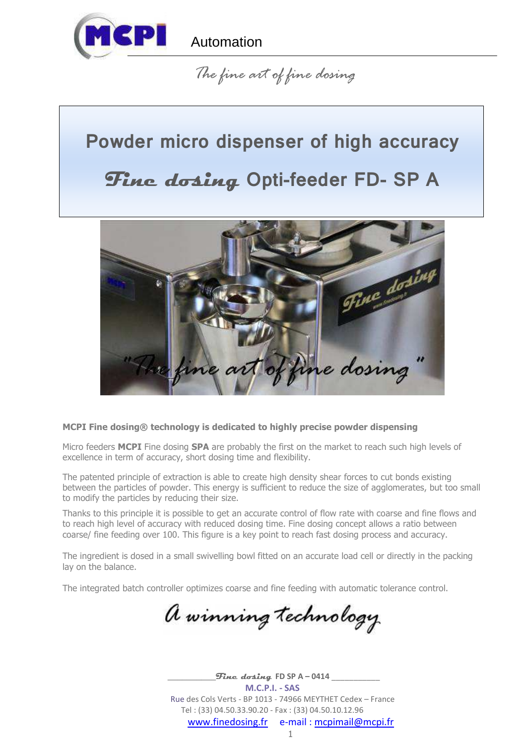

## *The fine art of fine dosing*

# **Powder micro dispenser of high accuracy**

# **Fine dosing Opti-feeder FD- SP A**



## **MCPI Fine dosing® technology is dedicated to highly precise powder dispensing**

Micro feeders **MCPI** Fine dosing **SPA** are probably the first on the market to reach such high levels of excellence in term of accuracy, short dosing time and flexibility.

The patented principle of extraction is able to create high density shear forces to cut bonds existing between the particles of powder. This energy is sufficient to reduce the size of agglomerates, but too small to modify the particles by reducing their size.

Thanks to this principle it is possible to get an accurate control of flow rate with coarse and fine flows and to reach high level of accuracy with reduced dosing time. Fine dosing concept allows a ratio between coarse/ fine feeding over 100. This figure is a key point to reach fast dosing process and accuracy.

The ingredient is dosed in a small swivelling bowl fitted on an accurate load cell or directly in the packing lay on the balance.

The integrated batch controller optimizes coarse and fine feeding with automatic tolerance control.

a winning technology

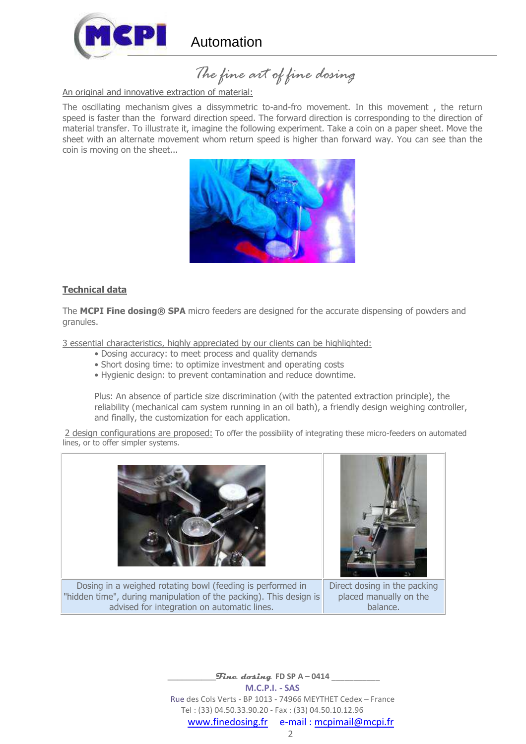

 *The fine art of fine dosing* 

#### An original and innovative extraction of material:

The oscillating mechanism gives a dissymmetric to-and-fro movement. In this movement , the return speed is faster than the forward direction speed. The forward direction is corresponding to the direction of material transfer. To illustrate it, imagine the following experiment. Take a coin on a paper sheet. Move the sheet with an alternate movement whom return speed is higher than forward way. You can see than the coin is moving on the sheet...



#### **Technical data**

The **MCPI Fine dosing® SPA** micro feeders are designed for the accurate dispensing of powders and granules.

3 essential characteristics, highly appreciated by our clients can be highlighted:

- Dosing accuracy: to meet process and quality demands
- Short dosing time: to optimize investment and operating costs
- Hygienic design: to prevent contamination and reduce downtime.

Plus: An absence of particle size discrimination (with the patented extraction principle), the reliability (mechanical cam system running in an oil bath), a friendly design weighing controller, and finally, the customization for each application.

2 design configurations are proposed: To offer the possibility of integrating these micro-feeders on automated lines, or to offer simpler systems.







Direct dosing in the packing placed manually on the balance.

 $_{}$ *Fine dosing* FD SP A – 0414 **M.C.P.I. - SAS**  Rue des Cols Verts - BP 1013 - 74966 MEYTHET Cedex – France Tel : (33) 04.50.33.90.20 - Fax : (33) 04.50.10.12.96 www.finedosing.fr e-mail : mcpimail@mcpi.fr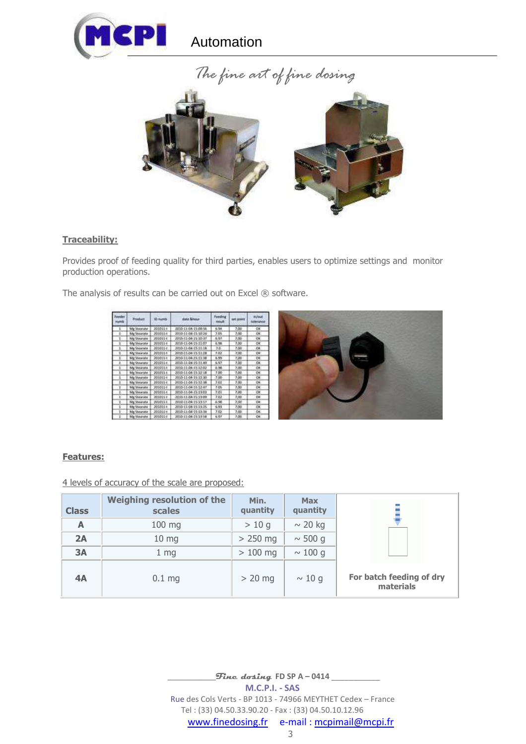



### **Traceability:**

Provides proof of feeding quality for third parties, enables users to optimize settings and monitor production operations.

The analysis of results can be carried out on Excel ® software.

| <b>veda</b> | <b>Printing</b>      | ID Aumth        | date Ahmar           | Fendrig<br>FMEL | <b>MR BOILER</b> | <b>PLASH</b> |
|-------------|----------------------|-----------------|----------------------|-----------------|------------------|--------------|
| ı           | Mg Steatute          | 200001-0        | 2010-11-04-15:09:56  | 6.54            | 7.08             | OK           |
|             | Mg Stewate           | F03061-t        | 2010-11-08-15-10:16  | 7.0%            | 7.00             | OK.          |
|             | Me Meinste           | 203011-8        | 2010/11/06 15:10:57  | 8.97            | 2,00             | <b>CN</b>    |
|             | Mg Shearata          | 203011-4        | 2010-11-04-15-11-07  | 长知              | 7.00             | OK           |
| ٠           | Me Shkarate          | 303051-t        | 2010/11/06/15 11:18  | 7.5             | 3.60             | C#           |
| ÷           | Mal Steamate         | 800361-8        | 2010/11/06 15:11:18  | 2.03            | 3:00             | CK.          |
| п           | <b>Mar Shearante</b> | 200011-0        | 2010-11-04-15:11:38  | 5.5%            | 7.00             | œ            |
| ÷           | Mg Showate           | $-1000011-t$    | 2015-11-04-15-11.49  | 5.57            | 7.08             | CH.          |
|             | Mg Shearate          | spoon La        | 2010-11-04-15-12-02  | 1.98            | 2.08             | ös.          |
| ı           | Mg 34min'ster        | 203051-6        | 2010-11-04-15-12:18  | T <sub>DB</sub> | 7.00             | œ            |
| E           | Ma Steatate          | 2033E1-t        | 2010-11-04 15:12:30  | $-7.00$         | 7.00             | <b>OK</b>    |
|             | Me Steinfate         | 1-100001        | 2010-11-04-15-12-ME  | 2.04            | 3.00             | OR           |
|             | Mg Uparate           | 203001-0        | 2010-11-04-15-12-87  | 7.0%            | 2.00             | <b>DE</b>    |
| r.          | Mg Stewate           | 303051-t        | 1010-11-04-15-11-03  | 7.01            | 7.00             | OK           |
|             | <b>Ma Shearake</b>   | 203001-0        | 2010-11-04-15:11:09  | 3:03            | 7.00             | CH.          |
|             | <b>Mg Mearste</b>    | <b>JOJOT LA</b> | 2010/11/04 15:13:17  | 5.58            | 3.00             | CH           |
|             | Mg Stearvite         | 203001-t        | 2010-11-04-15-18-25. | 5.93            | $7 - 00$         | OK           |
|             | Ma Shearata          | 303041-4        | 1015-11-06-15-13:34  | 7.00            | 2.00             | OK.          |
|             | <b>Mg Stearate</b>   | 303001-1        | 2010-11-04-15-11-18  | 8.97            | 2.00             | OR           |
|             |                      |                 |                      |                 |                  |              |



## **Features:**

4 levels of accuracy of the scale are proposed:

| <b>Class</b> | <b>Weighing resolution of the</b><br>scales | Min.<br>quantity | <b>Max</b><br>quantity |                                       |
|--------------|---------------------------------------------|------------------|------------------------|---------------------------------------|
| A            | 100 mg                                      | >10q             | $\sim$ 20 kg           |                                       |
| 2A           | $10$ mg                                     | $> 250$ mg       | $\sim$ 500 g           |                                       |
| 3A           | $1 \,$ mg                                   | $>100$ mg        | $\sim$ 100 g           |                                       |
| 4A           | $0.1$ mg                                    | $> 20$ mg        | $\sim$ 10 g            | For batch feeding of dry<br>materials |

 $\frac{1}{2}$  Fine dosing FD SP A – 0414 **M.C.P.I. - SAS**  Rue des Cols Verts - BP 1013 - 74966 MEYTHET Cedex – France Tel : (33) 04.50.33.90.20 - Fax : (33) 04.50.10.12.96 www.finedosing.fr e-mail : mcpimail@mcpi.fr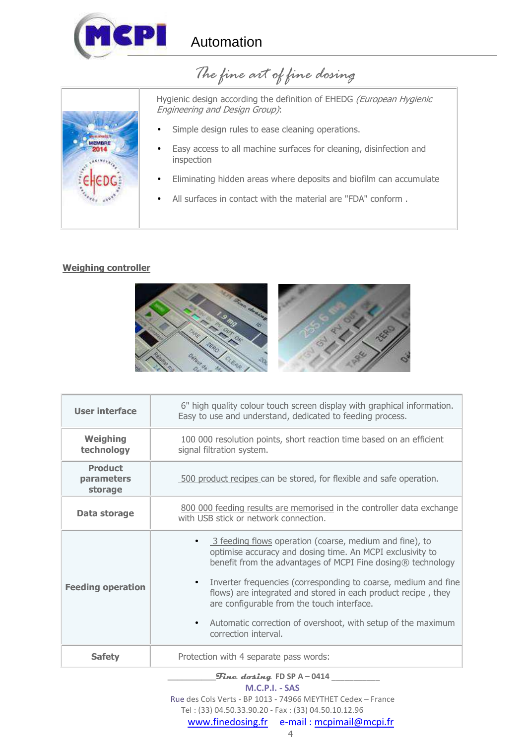

  *The fine art of fine dosing* 



Hygienic design according the definition of EHEDG (European Hygienic Engineering and Design Group):

- Simple design rules to ease cleaning operations.
- Easy access to all machine surfaces for cleaning, disinfection and inspection
- Eliminating hidden areas where deposits and biofilm can accumulate
- All surfaces in contact with the material are "FDA" conform.

## **Weighing controller**



| <b>User interface</b>                   | 6" high quality colour touch screen display with graphical information.<br>Easy to use and understand, dedicated to feeding process.                                                                                                                                                                                                                                                                                                                                        |  |  |  |
|-----------------------------------------|-----------------------------------------------------------------------------------------------------------------------------------------------------------------------------------------------------------------------------------------------------------------------------------------------------------------------------------------------------------------------------------------------------------------------------------------------------------------------------|--|--|--|
| <b>Weighing</b><br>technology           | 100 000 resolution points, short reaction time based on an efficient<br>signal filtration system.                                                                                                                                                                                                                                                                                                                                                                           |  |  |  |
| <b>Product</b><br>parameters<br>storage | 500 product recipes can be stored, for flexible and safe operation.                                                                                                                                                                                                                                                                                                                                                                                                         |  |  |  |
| Data storage                            | 800 000 feeding results are memorised in the controller data exchange<br>with USB stick or network connection.                                                                                                                                                                                                                                                                                                                                                              |  |  |  |
| <b>Feeding operation</b>                | • 3 feeding flows operation (coarse, medium and fine), to<br>optimise accuracy and dosing time. An MCPI exclusivity to<br>benefit from the advantages of MCPI Fine dosing® technology<br>Inverter frequencies (corresponding to coarse, medium and fine<br>$\bullet$<br>flows) are integrated and stored in each product recipe, they<br>are configurable from the touch interface.<br>Automatic correction of overshoot, with setup of the maximum<br>correction interval. |  |  |  |
| <b>Safety</b>                           | Protection with 4 separate pass words:                                                                                                                                                                                                                                                                                                                                                                                                                                      |  |  |  |

#### \_\_\_\_\_\_\_\_\_\_**Fine dosing FD SP A – 0414** \_\_\_\_\_\_\_\_\_\_\_

**M.C.P.I. - SAS** 

 Rue des Cols Verts - BP 1013 - 74966 MEYTHET Cedex – France Tel : (33) 04.50.33.90.20 - Fax : (33) 04.50.10.12.96

www.finedosing.fr e-mail : mcpimail@mcpi.fr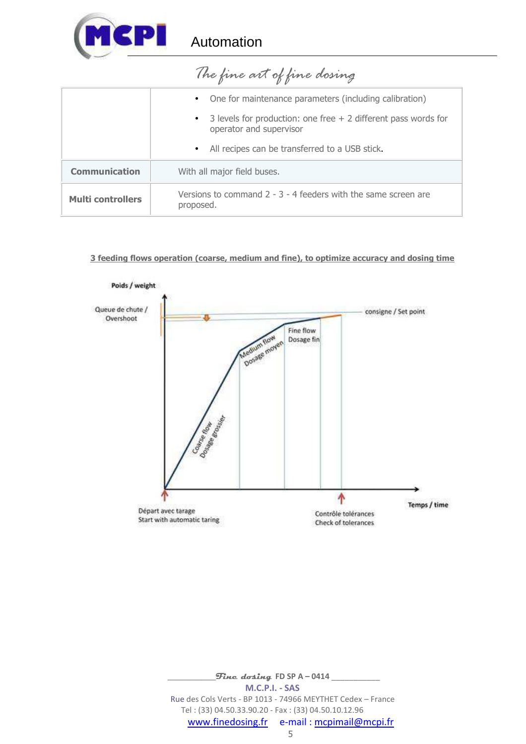

|                          | The fine an of fine dosing                                                                               |  |  |
|--------------------------|----------------------------------------------------------------------------------------------------------|--|--|
|                          | One for maintenance parameters (including calibration)<br>$\bullet$                                      |  |  |
|                          | 3 levels for production: one free $+$ 2 different pass words for<br>$\bullet$<br>operator and supervisor |  |  |
|                          | • All recipes can be transferred to a USB stick.                                                         |  |  |
| <b>Communication</b>     | With all major field buses.                                                                              |  |  |
| <b>Multi controllers</b> | Versions to command $2 - 3 - 4$ feeders with the same screen are<br>proposed.                            |  |  |

## *The fine art of fine dosing*

## **3 feeding flows operation (coarse, medium and fine), to optimize accuracy and dosing time**



 $\_$ *Fine dosing* FD SP A – 0414  $\_$ **M.C.P.I. - SAS**  Rue des Cols Verts - BP 1013 - 74966 MEYTHET Cedex – France Tel : (33) 04.50.33.90.20 - Fax : (33) 04.50.10.12.96 www.finedosing.fr e-mail : mcpimail@mcpi.fr 5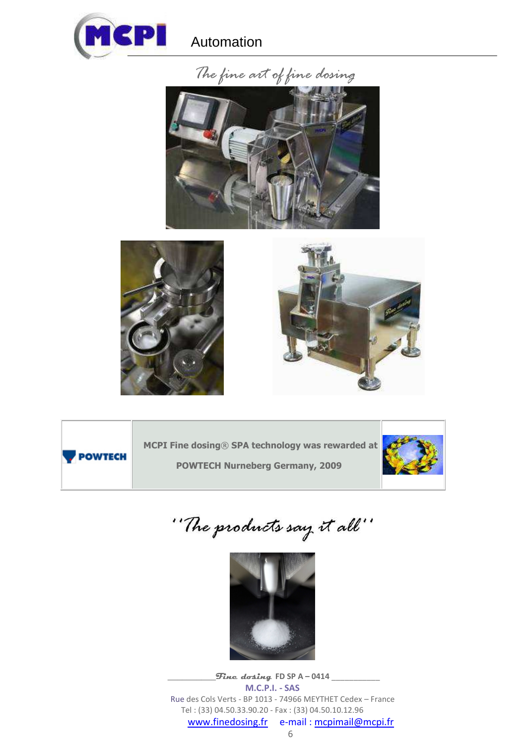









**MCPI Fine dosing**® **SPA technology was rewarded at** 

**POWTECH Nurneberg Germany, 2009**



"The products say it all"



 $\_$ *Fine dosing* FD SP A – 0414  $\_$ **M.C.P.I. - SAS**  Rue des Cols Verts - BP 1013 - 74966 MEYTHET Cedex – France Tel : (33) 04.50.33.90.20 - Fax : (33) 04.50.10.12.96 www.finedosing.fr e-mail : mcpimail@mcpi.fr